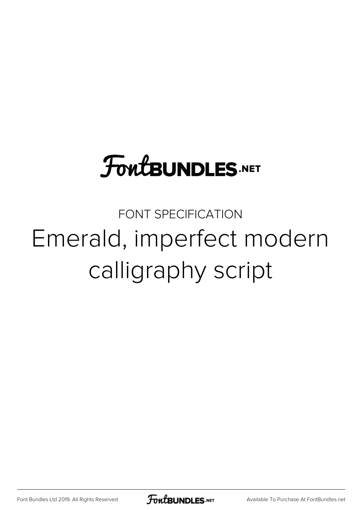## **FoutBUNDLES.NET**

FONT SPECIFICATION Emerald, imperfect modern calligraphy script

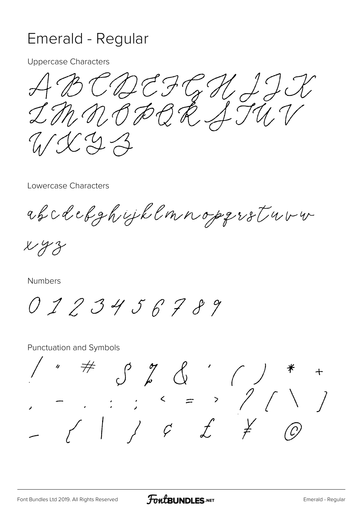## Emerald - Regular

**Uppercase Characters** 

ABCDEFGHJJ  $U(XZZ)$ 

Lowercase Characters

abcdebghyjklmnopgrstuvu

 $x y z$ 

Numbers

0123456789

**Punctuation and Symbols** 

 $\not\!\!\!\!/$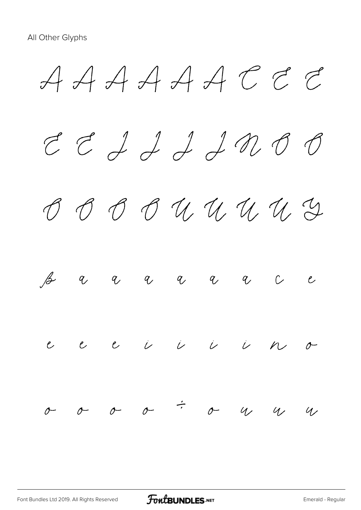$A A A A A C C$  $E$   $E$   $A$   $A$   $A$   $B$   $B$  $O$   $O$   $O$   $U$   $U$   $U$   $U$   $Y$ ß à á â ã ä å ç è  $e$   $e$   $e$   $\overline{\nu}$   $\overline{\nu}$   $\overline{\nu}$   $\overline{\nu}$   $\overline{\nu}$   $\overline{\nu}$   $\overline{\nu}$  $\sigma$   $\sigma$   $\sigma$   $\sigma$   $\tau$   $\sigma$   $\alpha$   $\alpha$   $\alpha$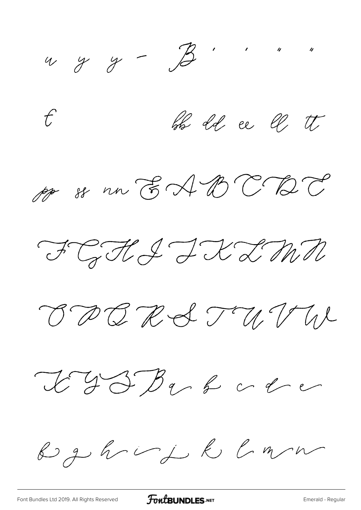$499 - B$ 

bb 2d ee U tt  $\mathcal{L}$ 

pp 88 nn EADCBC

FGHI IXIMN

BBBRSTUVN

L J S D v & v & v

By haif R Cmm

FontBUNDLES.NET